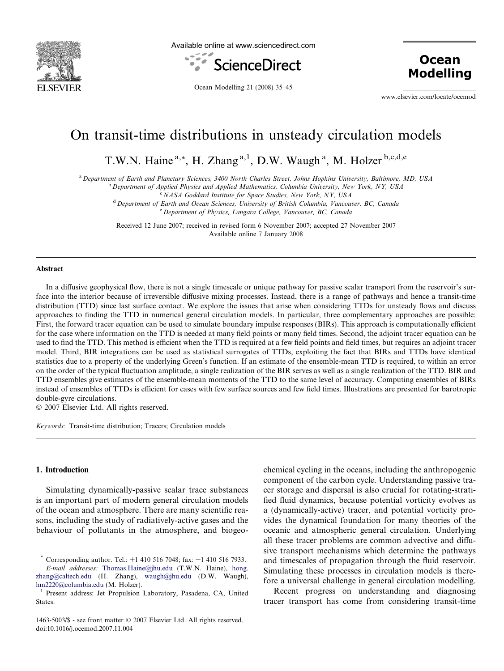

Available online at www.sciencedirect.com



**Ocean Modelling** 

Ocean Modelling 21 (2008) 35–45

www.elsevier.com/locate/ocemod

# On transit-time distributions in unsteady circulation models

T.W.N. Haine<sup>a,\*</sup>, H. Zhang<sup>a,1</sup>, D.W. Waugh<sup>a</sup>, M. Holzer<sup>b,c,d,e</sup>

<sup>a</sup> Department of Earth and Planetary Sciences, 3400 North Charles Street, Johns Hopkins University, Baltimore, MD, USA

<sup>b</sup> Department of Applied Physics and Applied Mathematics, Columbia University, New York, NY, USA

<sup>c</sup> NASA Goddard Institute for Space Studies, New York, NY, USA

<sup>d</sup> Department of Earth and Ocean Sciences, University of British Columbia, Vancouver, BC, Canada <sup>e</sup> Department of Physics, Langara College, Vancouver, BC, Canada

Received 12 June 2007; received in revised form 6 November 2007; accepted 27 November 2007 Available online 7 January 2008

#### Abstract

In a diffusive geophysical flow, there is not a single timescale or unique pathway for passive scalar transport from the reservoir's surface into the interior because of irreversible diffusive mixing processes. Instead, there is a range of pathways and hence a transit-time distribution (TTD) since last surface contact. We explore the issues that arise when considering TTDs for unsteady flows and discuss approaches to finding the TTD in numerical general circulation models. In particular, three complementary approaches are possible: First, the forward tracer equation can be used to simulate boundary impulse responses (BIRs). This approach is computationally efficient for the case where information on the TTD is needed at many field points or many field times. Second, the adjoint tracer equation can be used to find the TTD. This method is efficient when the TTD is required at a few field points and field times, but requires an adjoint tracer model. Third, BIR integrations can be used as statistical surrogates of TTDs, exploiting the fact that BIRs and TTDs have identical statistics due to a property of the underlying Green's function. If an estimate of the ensemble-mean TTD is required, to within an error on the order of the typical fluctuation amplitude, a single realization of the BIR serves as well as a single realization of the TTD. BIR and TTD ensembles give estimates of the ensemble-mean moments of the TTD to the same level of accuracy. Computing ensembles of BIRs instead of ensembles of TTDs is efficient for cases with few surface sources and few field times. Illustrations are presented for barotropic double-gyre circulations.

 $© 2007 Elsevier Ltd. All rights reserved.$ 

Keywords: Transit-time distribution; Tracers; Circulation models

#### 1. Introduction

Simulating dynamically-passive scalar trace substances is an important part of modern general circulation models of the ocean and atmosphere. There are many scientific reasons, including the study of radiatively-active gases and the behaviour of pollutants in the atmosphere, and biogeochemical cycling in the oceans, including the anthropogenic component of the carbon cycle. Understanding passive tracer storage and dispersal is also crucial for rotating-stratified fluid dynamics, because potential vorticity evolves as a (dynamically-active) tracer, and potential vorticity provides the dynamical foundation for many theories of the oceanic and atmospheric general circulation. Underlying all these tracer problems are common advective and diffusive transport mechanisms which determine the pathways and timescales of propagation through the fluid reservoir. Simulating these processes in circulation models is therefore a universal challenge in general circulation modelling.

Recent progress on understanding and diagnosing tracer transport has come from considering transit-time

Corresponding author. Tel.:  $+1$  410 516 7048; fax:  $+1$  410 516 7933. E-mail addresses: [Thomas.Haine@jhu.edu](mailto:Thomas.Haine@jhu.edu) (T.W.N. Haine), [hong.](mailto:hong. zhang@caltech.edu) [zhang@caltech.edu](mailto:hong. zhang@caltech.edu) (H. Zhang), [waugh@jhu.edu](mailto:waugh@jhu.edu) (D.W. Waugh), [hm2220@columbia.edu](mailto:hm2220@columbia.edu) (M. Holzer).<br><sup>1</sup> Present address: Jet Propulsion Laboratory, Pasadena, CA, United

States.

<sup>1463-5003/\$ -</sup> see front matter © 2007 Elsevier Ltd. All rights reserved. doi:10.1016/j.ocemod.2007.11.004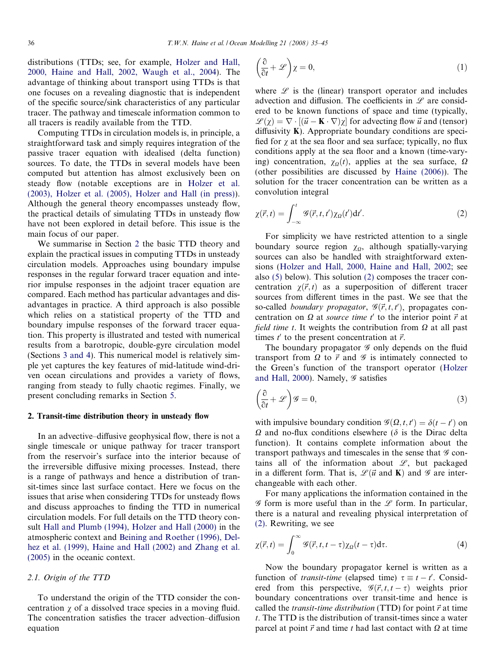<span id="page-1-0"></span>distributions (TTDs; see, for example, [Holzer and Hall,](#page-10-0) [2000, Haine and Hall, 2002, Waugh et al., 2004\)](#page-10-0). The advantage of thinking about transport using TTDs is that one focuses on a revealing diagnostic that is independent of the specific source/sink characteristics of any particular tracer. The pathway and timescale information common to all tracers is readily available from the TTD.

Computing TTDs in circulation models is, in principle, a straightforward task and simply requires integration of the passive tracer equation with idealised (delta function) sources. To date, the TTDs in several models have been computed but attention has almost exclusively been on steady flow (notable exceptions are in [Holzer et al.](#page-10-0) [\(2003\), Holzer et al. \(2005\), Holzer and Hall \(in press\)\)](#page-10-0). Although the general theory encompasses unsteady flow, the practical details of simulating TTDs in unsteady flow have not been explored in detail before. This issue is the main focus of our paper.

We summarise in Section 2 the basic TTD theory and explain the practical issues in computing TTDs in unsteady circulation models. Approaches using boundary impulse responses in the regular forward tracer equation and interior impulse responses in the adjoint tracer equation are compared. Each method has particular advantages and disadvantages in practice. A third approach is also possible which relies on a statistical property of the TTD and boundary impulse responses of the forward tracer equation. This property is illustrated and tested with numerical results from a barotropic, double-gyre circulation model (Sections [3 and 4](#page-5-0)). This numerical model is relatively simple yet captures the key features of mid-latitude wind-driven ocean circulations and provides a variety of flows, ranging from steady to fully chaotic regimes. Finally, we present concluding remarks in Section [5.](#page-8-0)

#### 2. Transit-time distribution theory in unsteady flow

In an advective–diffusive geophysical flow, there is not a single timescale or unique pathway for tracer transport from the reservoir's surface into the interior because of the irreversible diffusive mixing processes. Instead, there is a range of pathways and hence a distribution of transit-times since last surface contact. Here we focus on the issues that arise when considering TTDs for unsteady flows and discuss approaches to finding the TTD in numerical circulation models. For full details on the TTD theory consult [Hall and Plumb \(1994\), Holzer and Hall \(2000\)](#page-10-0) in the atmospheric context and [Beining and Roether \(1996\), Del](#page-10-0)[hez et al. \(1999\), Haine and Hall \(2002\) and Zhang et al.](#page-10-0) [\(2005\)](#page-10-0) in the oceanic context.

# 2.1. Origin of the TTD

To understand the origin of the TTD consider the concentration  $\chi$  of a dissolved trace species in a moving fluid. The concentration satisfies the tracer advection–diffusion equation

$$
\left(\frac{\partial}{\partial t} + \mathcal{L}\right)\chi = 0,\tag{1}
$$

where  $\mathscr L$  is the (linear) transport operator and includes advection and diffusion. The coefficients in  $\mathscr L$  are considered to be known functions of space and time (typically,  $\mathscr{L}(\chi) = \nabla \cdot [(\vec{u} - \mathbf{K} \cdot \nabla)\chi]$  for advecting flow  $\vec{u}$  and (tensor) diffusivity  $K$ ). Appropriate boundary conditions are specified for  $\chi$  at the sea floor and sea surface; typically, no flux conditions apply at the sea floor and a known (time-varying) concentration,  $\chi_0(t)$ , applies at the sea surface,  $\Omega$ (other possibilities are discussed by [Haine \(2006\)\)](#page-10-0). The solution for the tracer concentration can be written as a convolution integral

$$
\chi(\vec{r},t) = \int_{-\infty}^{t} \mathcal{G}(\vec{r},t,t') \chi_{\Omega}(t') dt'. \tag{2}
$$

For simplicity we have restricted attention to a single boundary source region  $\chi_{\Omega}$ , although spatially-varying sources can also be handled with straightforward extensions ([Holzer and Hall, 2000, Haine and Hall, 2002](#page-10-0); see also [\(5\)](#page-3-0) below). This solution (2) composes the tracer concentration  $\chi(\vec{r}, t)$  as a superposition of different tracer sources from different times in the past. We see that the so-called boundary propagator,  $\mathcal{G}(\vec{r}, t, t')$ , propagates concentration on  $\Omega$  at source time t' to the interior point  $\vec{r}$  at field time t. It weights the contribution from  $\Omega$  at all past times  $t'$  to the present concentration at  $\vec{r}$ .

The boundary propagator  $\mathscr G$  only depends on the fluid transport from  $\Omega$  to  $\vec{r}$  and  $\mathscr G$  is intimately connected to the Green's function of the transport operator ([Holzer](#page-10-0) [and Hall, 2000\)](#page-10-0). Namely,  $\mathscr G$  satisfies

$$
\left(\frac{\partial}{\partial t} + \mathcal{L}\right)\mathcal{G} = 0,\tag{3}
$$

with impulsive boundary condition  $\mathcal{G}(\Omega, t, t') = \delta(t - t')$  on  $\Omega$  and no-flux conditions elsewhere ( $\delta$  is the Dirac delta function). It contains complete information about the transport pathways and timescales in the sense that  $\mathscr G$  contains all of the information about  $\mathscr{L}$ , but packaged in a different form. That is,  $\mathcal{L}(\vec{u} \text{ and } \mathbf{K})$  and  $\mathcal{G}$  are interchangeable with each other.

For many applications the information contained in the  $\mathscr G$  form is more useful than in the  $\mathscr L$  form. In particular, there is a natural and revealing physical interpretation of (2). Rewriting, we see

$$
\chi(\vec{r},t) = \int_0^\infty \mathcal{G}(\vec{r},t,t-\tau)\chi_\Omega(t-\tau)\mathrm{d}\tau.
$$
 (4)

Now the boundary propagator kernel is written as a function of *transit-time* (elapsed time)  $\tau \equiv t - t'$ . Considered from this perspective,  $\mathscr{G}(\vec{r}, t, t - \tau)$  weights prior boundary concentrations over transit-time and hence is called the *transit-time distribution* (TTD) for point  $\vec{r}$  at time t. The TTD is the distribution of transit-times since a water parcel at point  $\vec{r}$  and time t had last contact with  $\Omega$  at time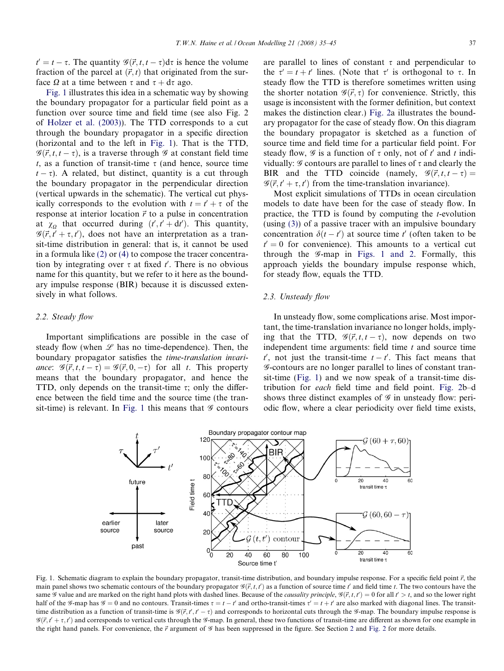<span id="page-2-0"></span> $t' = t - \tau$ . The quantity  $\mathscr{G}(\vec{r}, t, t - \tau) d\tau$  is hence the volume fraction of the parcel at  $(\vec{r}, t)$  that originated from the surface  $\Omega$  at a time between  $\tau$  and  $\tau + d\tau$  ago.

Fig. 1 illustrates this idea in a schematic way by showing the boundary propagator for a particular field point as a function over source time and field time (see also Fig. 2 of [Holzer et al. \(2003\)](#page-10-0)). The TTD corresponds to a cut through the boundary propagator in a specific direction (horizontal and to the left in Fig. 1). That is the TTD,  $\mathscr{G}(\vec{r}, t, t - \tau)$ , is a traverse through  $\mathscr{G}$  at constant field time t, as a function of transit-time  $\tau$  (and hence, source time  $t - \tau$ ). A related, but distinct, quantity is a cut through the boundary propagator in the perpendicular direction (vertical upwards in the schematic). The vertical cut physically corresponds to the evolution with  $t = t' + \tau$  of the response at interior location  $\vec{r}$  to a pulse in concentration at  $\chi_{\Omega}$  that occurred during  $(t', t' + dt')$ . This quantity,  $\mathscr{G}(\vec{r}, t' + \tau, t')$ , does not have an interpretation as a transit-time distribution in general: that is, it cannot be used in a formula like [\(2\)](#page-1-0) or [\(4\)](#page-1-0) to compose the tracer concentration by integrating over  $\tau$  at fixed  $t'$ . There is no obvious name for this quantity, but we refer to it here as the boundary impulse response (BIR) because it is discussed extensively in what follows.

#### 2.2. Steady flow

Important simplifications are possible in the case of steady flow (when  $L$  has no time-dependence). Then, the boundary propagator satisfies the time-translation invariance:  $\mathscr{G}(\vec{r}, t, t - \tau) = \mathscr{G}(\vec{r}, 0, -\tau)$  for all t. This property means that the boundary propagator, and hence the TTD, only depends on the transit-time  $\tau$ ; only the difference between the field time and the source time (the transit-time) is relevant. In Fig. 1 this means that  $\mathscr G$  contours are parallel to lines of constant  $\tau$  and perpendicular to the  $\tau' = t + t'$  lines. (Note that  $\tau'$  is orthogonal to  $\tau$ . In steady flow the TTD is therefore sometimes written using the shorter notation  $\mathscr{G}(\vec{r}, \tau)$  for convenience. Strictly, this usage is inconsistent with the former definition, but context makes the distinction clear.) [Fig. 2](#page-3-0)a illustrates the boundary propagator for the case of steady flow. On this diagram the boundary propagator is sketched as a function of source time and field time for a particular field point. For steady flow,  $\mathcal G$  is a function of  $\tau$  only, not of  $t'$  and  $t$  individually:  $\mathscr G$  contours are parallel to lines of  $\tau$  and clearly the BIR and the TTD coincide (namely,  $\mathscr{G}(\vec{r}, t, t - \tau) =$  $\mathscr{G}(\vec{r}, t' + \tau, t')$  from the time-translation invariance).

Most explicit simulations of TTDs in ocean circulation models to date have been for the case of steady flow. In practice, the TTD is found by computing the  $t$ -evolution (using [\(3\)](#page-1-0)) of a passive tracer with an impulsive boundary concentration  $\delta(t-t')$  at source time t' (often taken to be  $t' = 0$  for convenience). This amounts to a vertical cut through the G-map in Figs. 1 and 2. Formally, this approach yields the boundary impulse response which, for steady flow, equals the TTD.

#### 2.3. Unsteady flow

In unsteady flow, some complications arise. Most important, the time-translation invariance no longer holds, implying that the TTD,  $\mathcal{G}(\vec{r}, t, t - \tau)$ , now depends on two independent time arguments: field time  $t$  and source time  $t'$ , not just the transit-time  $t - t'$ . This fact means that G-contours are no longer parallel to lines of constant transit-time (Fig. 1) and we now speak of a transit-time distribution for each field time and field point. [Fig. 2b](#page-3-0)–d shows three distinct examples of  $\mathscr G$  in unsteady flow: periodic flow, where a clear periodicity over field time exists,



Fig. 1. Schematic diagram to explain the boundary propagator, transit-time distribution, and boundary impulse response. For a specific field point  $\vec{r}$ , the main panel shows two schematic contours of the boundary propagator  $\mathcal{G}(\vec{r}, t, t')$  as a function of source time t' and field time t. The two contours have the same  $\mathscr G$  value and are marked on the right hand plots with dashed lines. Because of the *causality principle*,  $\mathscr G(\vec r,t,t') = 0$  for all  $t' > t$ , and so the lower right half of the G-map has  $G = 0$  and no contours. Transit-times  $\tau = t - t'$  and ortho-transit-times  $\tau' = t + t'$  are also marked with diagonal lines. The transittime distribution as a function of transit-time is  $\mathcal{G}(\vec{r}, t', t - \tau)$  and corresponds to horizontal cuts through the  $\mathcal{G}$ -map. The boundary impulse response is  $\mathscr{G}(\vec{r}, t' + \tau, t')$  and corresponds to vertical cuts through the G-map. In general, these two functions of transit-time are different as shown for one example in the right hand panels. For convenience, the  $\vec{r}$  argument of  $\mathcal G$  has been suppressed in the figure. See Section [2](#page-1-0) and [Fig. 2](#page-3-0) for more details.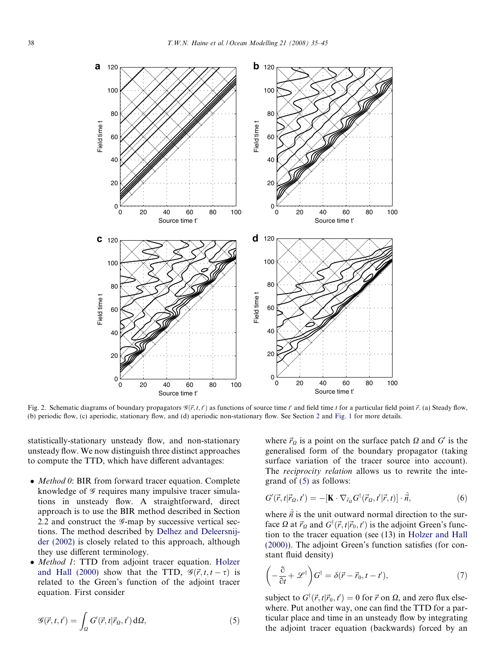<span id="page-3-0"></span>

Fig. 2. Schematic diagrams of boundary propagators  $\mathcal{G}(\vec{r}, t, t')$  as functions of source time t' and field time t for a particular field point  $\vec{r}$ . (a) Steady flow, (b) periodic flow, (c) aperiodic, stationary flow, and (d) aperiodic non-stationary flow. See Section [2](#page-1-0) and [Fig. 1](#page-2-0) for more details.

statistically-stationary unsteady flow, and non-stationary unsteady flow. We now distinguish three distinct approaches to compute the TTD, which have different advantages:

- Method 0: BIR from forward tracer equation. Complete knowledge of  $\mathscr G$  requires many impulsive tracer simulations in unsteady flow. A straightforward, direct approach is to use the BIR method described in Section 2.2 and construct the  $\mathscr G$ -map by successive vertical sections. The method described by [Delhez and Deleersnij](#page-10-0)[der \(2002\)](#page-10-0) is closely related to this approach, although they use different terminology.
- Method 1: TTD from adjoint tracer equation. [Holzer](#page-10-0) [and Hall \(2000\)](#page-10-0) show that the TTD,  $\mathcal{G}(\vec{r}, t, t - \tau)$  is related to the Green's function of the adjoint tracer equation. First consider

$$
\mathscr{G}(\vec{r},t,t') = \int_{\Omega} G'(\vec{r},t|\vec{r}_{\Omega},t') d\Omega, \tag{5}
$$

where  $\vec{r}_{\Omega}$  is a point on the surface patch  $\Omega$  and  $G'$  is the generalised form of the boundary propagator (taking surface variation of the tracer source into account). The *reciprocity relation* allows us to rewrite the integrand of (5) as follows:

$$
G'(\vec{r},t|\vec{r}_\Omega,t') = -[\mathbf{K}\cdot\nabla_{\vec{r}_\Omega}G^\dagger(\vec{r}_\Omega,t'|\vec{r},t)]\cdot\hat{\vec{n}},\tag{6}
$$

where  $\hat{\vec{n}}$  is the unit outward normal direction to the surface  $\Omega$  at  $\vec{r}_{\Omega}$  and  $G^{\dagger}(\vec{r}, t | \vec{r}_{0}, t')$  is the adjoint Green's function to the tracer equation (see (13) in [Holzer and Hall](#page-10-0) [\(2000\)](#page-10-0)). The adjoint Green's function satisfies (for constant fluid density)

$$
\left(-\frac{\partial}{\partial t} + \mathscr{L}^{\dagger}\right) G^{\dagger} = \delta(\vec{r} - \vec{r}_0, t - t'),\tag{7}
$$

subject to  $G^{\dagger}(\vec{r}, t | \vec{r}_0, t') = 0$  for  $\vec{r}$  on  $\Omega$ , and zero flux elsewhere. Put another way, one can find the TTD for a particular place and time in an unsteady flow by integrating the adjoint tracer equation (backwards) forced by an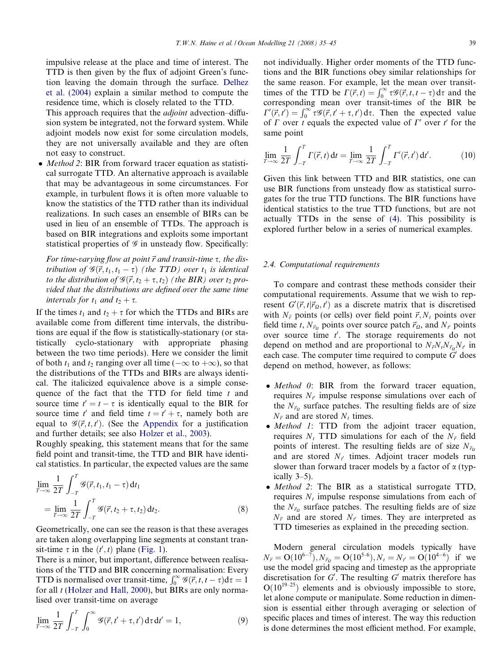<span id="page-4-0"></span>impulsive release at the place and time of interest. The TTD is then given by the flux of adjoint Green's function leaving the domain through the surface. [Delhez](#page-10-0) [et al. \(2004\)](#page-10-0) explain a similar method to compute the residence time, which is closely related to the TTD.

This approach requires that the *adjoint* advection–diffusion system be integrated, not the forward system. While adjoint models now exist for some circulation models, they are not universally available and they are often not easy to construct.

• Method 2: BIR from forward tracer equation as statistical surrogate TTD. An alternative approach is available that may be advantageous in some circumstances. For example, in turbulent flows it is often more valuable to know the statistics of the TTD rather than its individual realizations. In such cases an ensemble of BIRs can be used in lieu of an ensemble of TTDs. The approach is based on BIR integrations and exploits some important statistical properties of  $\mathcal G$  in unsteady flow. Specifically:

For time-varying flow at point  $\vec{r}$  and transit-time  $\tau$ , the distribution of  $\mathscr{G}(\vec{r}, t_1, t_1 - \tau)$  (the TTD) over  $t_1$  is identical to the distribution of  $\mathcal{G}(\vec{r}, t_2 + \tau, t_2)$  (the BIR) over  $t_2$  provided that the distributions are defined over the same time intervals for  $t_1$  and  $t_2 + \tau$ .

If the times  $t_1$  and  $t_2 + \tau$  for which the TTDs and BIRs are available come from different time intervals, the distributions are equal if the flow is statistically-stationary (or statistically cyclo-stationary with appropriate phasing between the two time periods). Here we consider the limit of both  $t_1$  and  $t_2$  ranging over all time ( $-\infty$  to  $+\infty$ ), so that the distributions of the TTDs and BIRs are always identical. The italicized equivalence above is a simple consequence of the fact that the TTD for field time  $t$  and source time  $t' = t - \tau$  is identically equal to the BIR for source time t and field time  $t = t' + \tau$ , namely both are equal to  $\mathcal{G}(\vec{r}, t, t')$ . (See the Appendix for a justification and further details; see also [Holzer et al., 2003](#page-10-0)).

Roughly speaking, this statement means that for the same field point and transit-time, the TTD and BIR have identical statistics. In particular, the expected values are the same

$$
\lim_{T \to \infty} \frac{1}{2T} \int_{-T}^{T} \mathcal{G}(\vec{r}, t_1, t_1 - \tau) dt_1
$$
\n
$$
= \lim_{T \to \infty} \frac{1}{2T} \int_{-T}^{T} \mathcal{G}(\vec{r}, t_2 + \tau, t_2) dt_2.
$$
\n(8)

Geometrically, one can see the reason is that these averages are taken along overlapping line segments at constant transit-time  $\tau$  in the  $(t', t)$  plane ([Fig. 1](#page-2-0)).

There is a minor, but important, difference between realisations of the TTD and BIR concerning normalisation: Every TTD is normalised over transit-time,  $\int_0^\infty \mathcal{G}(\vec{r}, t, t - \tau) d\tau = 1$ for all *t* [\(Holzer and Hall, 2000\)](#page-10-0), but BIRs are only normalised over transit-time on average

$$
\lim_{T \to \infty} \frac{1}{2T} \int_{-T}^{T} \int_{0}^{\infty} \mathcal{G}(\vec{r}, t' + \tau, t') d\tau dt' = 1, \tag{9}
$$

not individually. Higher order moments of the TTD functions and the BIR functions obey similar relationships for the same reason. For example, let the mean over transittimes of the TTD be  $\Gamma(\vec{r}, t) = \int_0^\infty \tau \mathcal{G}(\vec{r}, t, t - \tau) d\tau$  and the corresponding mean over transit-times of the BIR be  $\Gamma'(\vec{r}, t') = \int_0^\infty \tau \mathcal{G}(\vec{r}, t' + \tau, t') d\tau$ . Then the expected value of  $\Gamma$  over t equals the expected value of  $\Gamma'$  over t' for the same point

$$
\lim_{T \to \infty} \frac{1}{2T} \int_{-T}^{T} \Gamma(\vec{r}, t) dt = \lim_{T \to \infty} \frac{1}{2T} \int_{-T}^{T} \Gamma'(\vec{r}, t') dt'.
$$
 (10)

Given this link between TTD and BIR statistics, one can use BIR functions from unsteady flow as statistical surrogates for the true TTD functions. The BIR functions have identical statistics to the true TTD functions, but are not actually TTDs in the sense of [\(4\)](#page-1-0). This possibility is explored further below in a series of numerical examples.

# 2.4. Computational requirements

To compare and contrast these methods consider their computational requirements. Assume that we wish to represent  $G'(\vec{r}, t | \vec{r}_{\Omega}, t')$  as a discrete matrix that is discretised with  $N_{\vec{r}}$  points (or cells) over field point  $\vec{r}$ ,  $N_t$  points over field time t,  $N_{\vec{r}_0}$  points over source patch  $\vec{r}_0$ , and  $N_{t'}$  points over source time  $t'$ . The storage requirements do not depend on method and are proportional to  $N_{\vec{r}}N_tN_{\vec{r}}N_{t'}$  in each case. The computer time required to compute  $G'$  does depend on method, however, as follows:

- $\bullet$  Method 0: BIR from the forward tracer equation, requires  $N_{t'}$  impulse response simulations over each of the  $N_{\vec{r}_\Omega}$  surface patches. The resulting fields are of size  $N_{\vec{r}}$  and are stored  $N_t$  times.
- $\bullet$  Method 1: TTD from the adjoint tracer equation, requires  $N_t$  TTD simulations for each of the  $N_{\vec{r}}$  field points of interest. The resulting fields are of size  $N_{\vec{r}_0}$ and are stored  $N_{t}$  times. Adjoint tracer models run slower than forward tracer models by a factor of  $\alpha$  (typically 3–5).
- Method 2: The BIR as a statistical surrogate TTD, requires  $N_t$  impulse response simulations from each of the  $N_{\vec{r}_0}$  surface patches. The resulting fields are of size  $N_{\vec{r}}$  and are stored  $N_{t'}$  times. They are interpreted as TTD timeseries as explained in the preceding section.

Modern general circulation models typically have  $N_{\vec{r}} = O(10^{6-7}), N_{\vec{r}_Q} = O(10^{5-6}), N_t = N_{t'} = O(10^{4-6})$  if we use the model grid spacing and timestep as the appropriate discretisation for  $G'$ . The resulting  $G'$  matrix therefore has  $O(10^{19-25})$  elements and is obviously impossible to store, let alone compute or manipulate. Some reduction in dimension is essential either through averaging or selection of specific places and times of interest. The way this reduction is done determines the most efficient method. For example,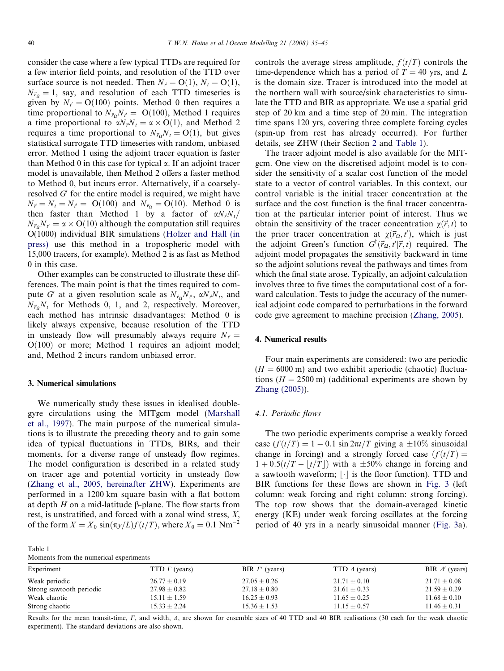<span id="page-5-0"></span>consider the case where a few typical TTDs are required for a few interior field points, and resolution of the TTD over surface source is not needed. Then  $N_{\vec{r}} = O(1)$ ,  $N_t = O(1)$ ,  $N_{\vec{r}_0} = 1$ , say, and resolution of each TTD timeseries is given by  $N_t = O(100)$  points. Method 0 then requires a time proportional to  $N_{\vec{r}_0} N_{t'} = O(100)$ , Method 1 requires a time proportional to  $\alpha N_{\vec{r}}N_t = \alpha \times O(1)$ , and Method 2 requires a time proportional to  $N_{\vec{r}_0} N_t = O(1)$ , but gives statistical surrogate TTD timeseries with random, unbiased error. Method 1 using the adjoint tracer equation is faster than Method 0 in this case for typical  $\alpha$ . If an adjoint tracer model is unavailable, then Method 2 offers a faster method to Method 0, but incurs error. Alternatively, if a coarselyresolved  $G'$  for the entire model is required, we might have  $N_{\vec{r}} = N_t = N_{t'} = O(100)$  and  $N_{\vec{r}_0} = O(10)$ . Method 0 is then faster than Method 1 by a factor of  $\alpha N_{\vec{r}}N_t/$  $N_{\vec{r}_0}N_{t'} = \alpha \times O(10)$  although the computation still requires O(1000) individual BIR simulations [\(Holzer and Hall \(in](#page-10-0) [press\)](#page-10-0) use this method in a tropospheric model with 15,000 tracers, for example). Method 2 is as fast as Method 0 in this case.

Other examples can be constructed to illustrate these differences. The main point is that the times required to compute G' at a given resolution scale as  $N_{\vec{r}_0}N_{t}$ ,  $\alpha N_{\vec{r}}N_t$ , and  $N_{\vec{r}_0}N_t$  for Methods 0, 1, and 2, respectively. Moreover, each method has intrinsic disadvantages: Method 0 is likely always expensive, because resolution of the TTD in unsteady flow will presumably always require  $N_t =$  $O(100)$  or more; Method 1 requires an adjoint model; and, Method 2 incurs random unbiased error.

## 3. Numerical simulations

We numerically study these issues in idealised doublegyre circulations using the MITgcm model [\(Marshall](#page-10-0) [et al., 1997\)](#page-10-0). The main purpose of the numerical simulations is to illustrate the preceding theory and to gain some idea of typical fluctuations in TTDs, BIRs, and their moments, for a diverse range of unsteady flow regimes. The model configuration is described in a related study on tracer age and potential vorticity in unsteady flow [\(Zhang et al., 2005, hereinafter ZHW\)](#page-10-0). Experiments are performed in a 1200 km square basin with a flat bottom at depth H on a mid-latitude  $\beta$ -plane. The flow starts from rest, is unstratified, and forced with a zonal wind stress, X, of the form  $X = X_0 \sin(\pi y/L) f(t/T)$ , where  $X_0 = 0.1 \text{ Nm}^{-2}$ 

Moments from the numerical experiments

Table 1

controls the average stress amplitude,  $f(t/T)$  controls the time-dependence which has a period of  $T = 40$  yrs, and L is the domain size. Tracer is introduced into the model at the northern wall with source/sink characteristics to simulate the TTD and BIR as appropriate. We use a spatial grid step of 20 km and a time step of 20 min. The integration time spans 120 yrs, covering three complete forcing cycles (spin-up from rest has already occurred). For further details, see ZHW (their Section [2](#page-1-0) and Table 1).

The tracer adjoint model is also available for the MITgcm. One view on the discretised adjoint model is to consider the sensitivity of a scalar cost function of the model state to a vector of control variables. In this context, our control variable is the initial tracer concentration at the surface and the cost function is the final tracer concentration at the particular interior point of interest. Thus we obtain the sensitivity of the tracer concentration  $\chi(\vec{r}, t)$  to the prior tracer concentration at  $\chi(\vec{r}_\Omega, t')$ , which is just the adjoint Green's function  $G^{\dagger}(\vec{r}_\Omega, t'|\vec{r}, t)$  required. The adjoint model propagates the sensitivity backward in time so the adjoint solutions reveal the pathways and times from which the final state arose. Typically, an adjoint calculation involves three to five times the computational cost of a forward calculation. Tests to judge the accuracy of the numerical adjoint code compared to perturbations in the forward code give agreement to machine precision ([Zhang, 2005](#page-10-0)).

# 4. Numerical results

Four main experiments are considered: two are periodic  $(H = 6000 \text{ m})$  and two exhibit aperiodic (chaotic) fluctuations ( $H = 2500$  m) (additional experiments are shown by [Zhang \(2005\)](#page-10-0)).

# 4.1. Periodic flows

The two periodic experiments comprise a weakly forced case  $(f(t/T) = 1 - 0.1 \sin 2\pi t/T$  giving a  $\pm 10\%$  sinusoidal change in forcing) and a strongly forced case  $(f(t/T))$  $1 + 0.5(t/T - |t/T|)$  with a  $\pm 50\%$  change in forcing and a sawtooth waveform;  $\lfloor \cdot \rfloor$  is the floor function). TTD and BIR functions for these flows are shown in [Fig. 3](#page-6-0) (left column: weak forcing and right column: strong forcing). The top row shows that the domain-averaged kinetic energy (KE) under weak forcing oscillates at the forcing period of 40 yrs in a nearly sinusoidal manner ([Fig. 3a](#page-6-0)).

| <u><i>rionients</i></u> from the numerical experiments |                      |                       |                      |                       |
|--------------------------------------------------------|----------------------|-----------------------|----------------------|-----------------------|
| Experiment                                             | TTD $\Gamma$ (years) | BIR $\Gamma'$ (years) | TTD $\Delta$ (years) | BIR $\Delta'$ (years) |
| Weak periodic                                          | $26.77 \pm 0.19$     | $27.05 \pm 0.26$      | $21.71 \pm 0.10$     | $21.71 \pm 0.08$      |
| Strong sawtooth periodic                               | $27.98 \pm 0.82$     | $27.18 \pm 0.80$      | $21.61 \pm 0.33$     | $21.59 \pm 0.29$      |
| Weak chaotic                                           | $15.11 \pm 1.59$     | $16.25 \pm 0.93$      | $11.65 \pm 0.25$     | $11.68 \pm 0.10$      |
| Strong chaotic                                         | $15.33 \pm 2.24$     | $15.36 \pm 1.53$      | $11.15 \pm 0.57$     | $11.46 \pm 0.31$      |

Results for the mean transit-time,  $\Gamma$ , and width,  $\Delta$ , are shown for ensemble sizes of 40 TTD and 40 BIR realisations (30 each for the weak chaotic experiment). The standard deviations are also shown.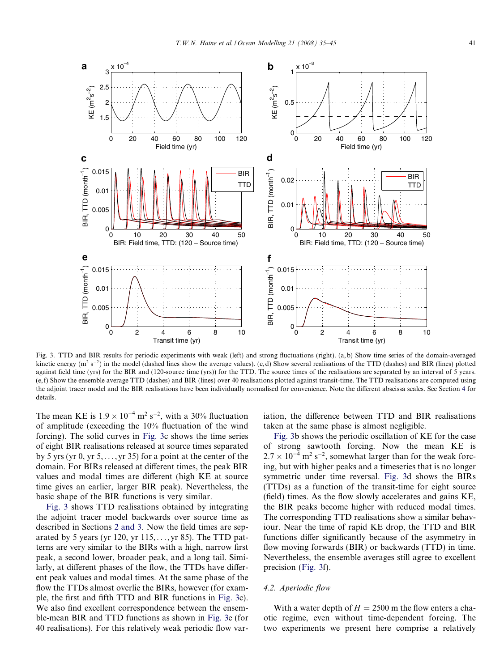<span id="page-6-0"></span>

Fig. 3. TTD and BIR results for periodic experiments with weak (left) and strong fluctuations (right). (a, b) Show time series of the domain-averaged kinetic energy  $(m^2 s^{-2})$  in the model (dashed lines show the average values). (c,d) Show several realisations of the TTD (dashes) and BIR (lines) plotted against field time (yrs) for the BIR and (120-source time (yrs)) for the TTD. The source times of the realisations are separated by an interval of 5 years. (e, f) Show the ensemble average TTD (dashes) and BIR (lines) over 40 realisations plotted against transit-time. The TTD realisations are computed using the adjoint tracer model and the BIR realisations have been individually normalised for convenience. Note the different abscissa scales. See Section [4](#page-5-0) for details.

The mean KE is  $1.9 \times 10^{-4}$  m<sup>2</sup> s<sup>-2</sup>, with a 30% fluctuation of amplitude (exceeding the 10% fluctuation of the wind forcing). The solid curves in Fig. 3c shows the time series of eight BIR realisations released at source times separated by 5 yrs (yr  $0$ , yr  $5$ ,..., yr 35) for a point at the center of the domain. For BIRs released at different times, the peak BIR values and modal times are different (high KE at source time gives an earlier, larger BIR peak). Nevertheless, the basic shape of the BIR functions is very similar.

Fig. 3 shows TTD realisations obtained by integrating the adjoint tracer model backwards over source time as described in Sections [2 and 3](#page-1-0). Now the field times are separated by 5 years (yr 120, yr  $115, \ldots$ , yr 85). The TTD patterns are very similar to the BIRs with a high, narrow first peak, a second lower, broader peak, and a long tail. Similarly, at different phases of the flow, the TTDs have different peak values and modal times. At the same phase of the flow the TTDs almost overlie the BIRs, however (for example, the first and fifth TTD and BIR functions in Fig. 3c). We also find excellent correspondence between the ensemble-mean BIR and TTD functions as shown in Fig. 3e (for 40 realisations). For this relatively weak periodic flow variation, the difference between TTD and BIR realisations taken at the same phase is almost negligible.

Fig. 3b shows the periodic oscillation of KE for the case of strong sawtooth forcing. Now the mean KE is  $2.7 \times 10^{-4}$  m<sup>2</sup> s<sup>-2</sup>, somewhat larger than for the weak forcing, but with higher peaks and a timeseries that is no longer symmetric under time reversal. Fig. 3d shows the BIRs (TTDs) as a function of the transit-time for eight source (field) times. As the flow slowly accelerates and gains KE, the BIR peaks become higher with reduced modal times. The corresponding TTD realisations show a similar behaviour. Near the time of rapid KE drop, the TTD and BIR functions differ significantly because of the asymmetry in flow moving forwards (BIR) or backwards (TTD) in time. Nevertheless, the ensemble averages still agree to excellent precision (Fig. 3f).

#### 4.2. Aperiodic flow

With a water depth of  $H = 2500$  m the flow enters a chaotic regime, even without time-dependent forcing. The two experiments we present here comprise a relatively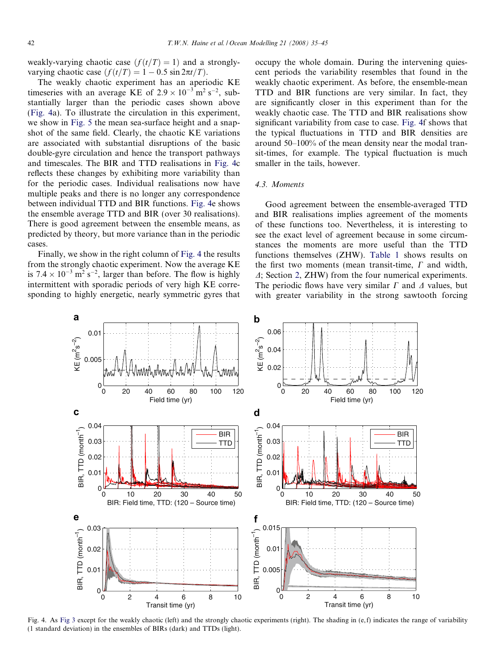<span id="page-7-0"></span>weakly-varying chaotic case  $(f(t/T) = 1)$  and a stronglyvarying chaotic case  $(f(t/T) = 1 - 0.5 \sin 2\pi t/T)$ .

The weakly chaotic experiment has an aperiodic KE timeseries with an average KE of  $2.9 \times 10^{-3}$  m<sup>2</sup> s<sup>-2</sup>, substantially larger than the periodic cases shown above (Fig. 4a). To illustrate the circulation in this experiment, we show in [Fig. 5](#page-8-0) the mean sea-surface height and a snapshot of the same field. Clearly, the chaotic KE variations are associated with substantial disruptions of the basic double-gyre circulation and hence the transport pathways and timescales. The BIR and TTD realisations in Fig. 4c reflects these changes by exhibiting more variability than for the periodic cases. Individual realisations now have multiple peaks and there is no longer any correspondence between individual TTD and BIR functions. Fig. 4e shows the ensemble average TTD and BIR (over 30 realisations). There is good agreement between the ensemble means, as predicted by theory, but more variance than in the periodic cases.

Finally, we show in the right column of Fig. 4 the results from the strongly chaotic experiment. Now the average KE is  $7.4 \times 10^{-3}$  m<sup>2</sup> s<sup>-2</sup>, larger than before. The flow is highly intermittent with sporadic periods of very high KE corresponding to highly energetic, nearly symmetric gyres that occupy the whole domain. During the intervening quiescent periods the variability resembles that found in the weakly chaotic experiment. As before, the ensemble-mean TTD and BIR functions are very similar. In fact, they are significantly closer in this experiment than for the weakly chaotic case. The TTD and BIR realisations show significant variability from case to case. Fig. 4f shows that the typical fluctuations in TTD and BIR densities are around 50–100% of the mean density near the modal transit-times, for example. The typical fluctuation is much smaller in the tails, however.

# 4.3. Moments

Good agreement between the ensemble-averaged TTD and BIR realisations implies agreement of the moments of these functions too. Nevertheless, it is interesting to see the exact level of agreement because in some circumstances the moments are more useful than the TTD functions themselves (ZHW). [Table 1](#page-5-0) shows results on the first two moments (mean transit-time,  $\Gamma$  and width,  $\Delta$ ; Section [2,](#page-1-0) ZHW) from the four numerical experiments. The periodic flows have very similar  $\Gamma$  and  $\Delta$  values, but with greater variability in the strong sawtooth forcing



Fig. 4. As [Fig 3](#page-6-0) except for the weakly chaotic (left) and the strongly chaotic experiments (right). The shading in (e, f) indicates the range of variability (1 standard deviation) in the ensembles of BIRs (dark) and TTDs (light).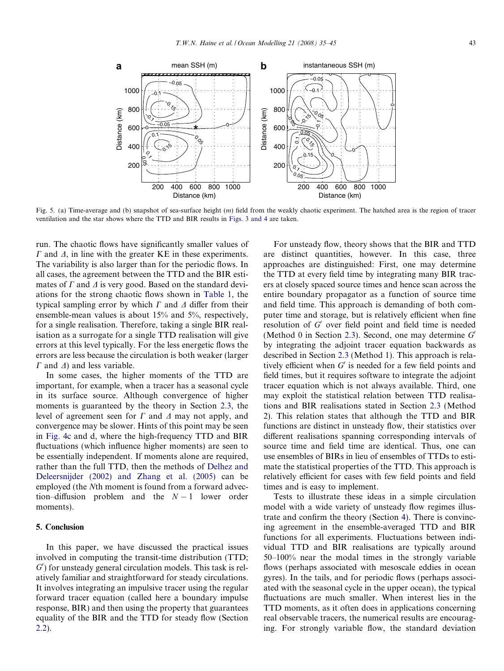

<span id="page-8-0"></span>

Fig. 5. (a) Time-average and (b) snapshot of sea-surface height  $(m)$  field from the weakly chaotic experiment. The hatched area is the region of tracer ventilation and the star shows where the TTD and BIR results in [Figs. 3 and 4](#page-6-0) are taken.

run. The chaotic flows have significantly smaller values of  $\Gamma$  and  $\Delta$ , in line with the greater KE in these experiments. The variability is also larger than for the periodic flows. In all cases, the agreement between the TTD and the BIR estimates of  $\Gamma$  and  $\Delta$  is very good. Based on the standard deviations for the strong chaotic flows shown in [Table 1,](#page-5-0) the typical sampling error by which  $\Gamma$  and  $\Delta$  differ from their ensemble-mean values is about 15% and 5%, respectively, for a single realisation. Therefore, taking a single BIR realisation as a surrogate for a single TTD realisation will give errors at this level typically. For the less energetic flows the errors are less because the circulation is both weaker (larger  $\Gamma$  and  $\Delta$ ) and less variable.

In some cases, the higher moments of the TTD are important, for example, when a tracer has a seasonal cycle in its surface source. Although convergence of higher moments is guaranteed by the theory in Section [2.3](#page-2-0), the level of agreement seen for  $\Gamma$  and  $\Delta$  may not apply, and convergence may be slower. Hints of this point may be seen in [Fig. 4c](#page-7-0) and d, where the high-frequency TTD and BIR fluctuations (which influence higher moments) are seen to be essentially independent. If moments alone are required, rather than the full TTD, then the methods of [Delhez and](#page-10-0) [Deleersnijder \(2002\) and Zhang et al. \(2005\)](#page-10-0) can be employed (the Nth moment is found from a forward advection–diffusion problem and the  $N - 1$  lower order moments).

## 5. Conclusion

In this paper, we have discussed the practical issues involved in computing the transit-time distribution (TTD;  $G'$ ) for unsteady general circulation models. This task is relatively familiar and straightforward for steady circulations. It involves integrating an impulsive tracer using the regular forward tracer equation (called here a boundary impulse response, BIR) and then using the property that guarantees equality of the BIR and the TTD for steady flow (Section [2.2](#page-2-0)).

For unsteady flow, theory shows that the BIR and TTD are distinct quantities, however. In this case, three approaches are distinguished: First, one may determine the TTD at every field time by integrating many BIR tracers at closely spaced source times and hence scan across the entire boundary propagator as a function of source time and field time. This approach is demanding of both computer time and storage, but is relatively efficient when fine resolution of  $G'$  over field point and field time is needed (Method 0 in Section [2.3](#page-2-0)). Second, one may determine  $G'$ by integrating the adjoint tracer equation backwards as described in Section [2.3](#page-2-0) (Method 1). This approach is relatively efficient when  $G'$  is needed for a few field points and field times, but it requires software to integrate the adjoint tracer equation which is not always available. Third, one may exploit the statistical relation between TTD realisations and BIR realisations stated in Section [2.3](#page-2-0) (Method 2). This relation states that although the TTD and BIR functions are distinct in unsteady flow, their statistics over different realisations spanning corresponding intervals of source time and field time are identical. Thus, one can use ensembles of BIRs in lieu of ensembles of TTDs to estimate the statistical properties of the TTD. This approach is relatively efficient for cases with few field points and field times and is easy to implement.

Tests to illustrate these ideas in a simple circulation model with a wide variety of unsteady flow regimes illustrate and confirm the theory (Section [4\)](#page-5-0). There is convincing agreement in the ensemble-averaged TTD and BIR functions for all experiments. Fluctuations between individual TTD and BIR realisations are typically around 50–100% near the modal times in the strongly variable flows (perhaps associated with mesoscale eddies in ocean gyres). In the tails, and for periodic flows (perhaps associated with the seasonal cycle in the upper ocean), the typical fluctuations are much smaller. When interest lies in the TTD moments, as it often does in applications concerning real observable tracers, the numerical results are encouraging. For strongly variable flow, the standard deviation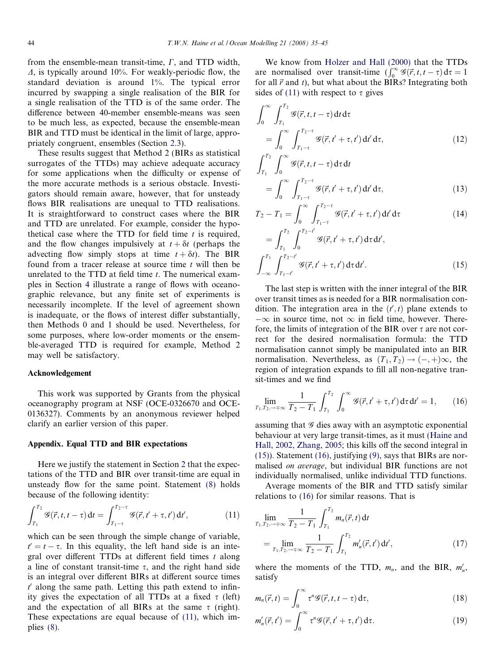from the ensemble-mean transit-time,  $\Gamma$ , and TTD width,  $\Delta$ , is typically around 10%. For weakly-periodic flow, the standard deviation is around 1%. The typical error incurred by swapping a single realisation of the BIR for a single realisation of the TTD is of the same order. The difference between 40-member ensemble-means was seen to be much less, as expected, because the ensemble-mean BIR and TTD must be identical in the limit of large, appropriately congruent, ensembles (Section [2.3](#page-2-0)).

These results suggest that Method 2 (BIRs as statistical surrogates of the TTDs) may achieve adequate accuracy for some applications when the difficulty or expense of the more accurate methods is a serious obstacle. Investigators should remain aware, however, that for unsteady flows BIR realisations are unequal to TTD realisations. It is straightforward to construct cases where the BIR and TTD are unrelated. For example, consider the hypothetical case where the TTD for field time  $t$  is required, and the flow changes impulsively at  $t + \delta t$  (perhaps the advecting flow simply stops at time  $t + \delta t$ . The BIR found from a tracer release at source time  $t$  will then be unrelated to the TTD at field time  $t$ . The numerical examples in Section [4](#page-5-0) illustrate a range of flows with oceanographic relevance, but any finite set of experiments is necessarily incomplete. If the level of agreement shown is inadequate, or the flows of interest differ substantially, then Methods 0 and 1 should be used. Nevertheless, for some purposes, where low-order moments or the ensemble-averaged TTD is required for example, Method 2 may well be satisfactory.

#### Acknowledgement

This work was supported by Grants from the physical oceanography program at NSF (OCE-0326670 and OCE-0136327). Comments by an anonymous reviewer helped clarify an earlier version of this paper.

#### Appendix. Equal TTD and BIR expectations

Here we justify the statement in Section [2](#page-1-0) that the expectations of the TTD and BIR over transit-time are equal in unsteady flow for the same point. Statement [\(8\)](#page-4-0) holds because of the following identity:

$$
\int_{T_1}^{T_2} \mathcal{G}(\vec{r}, t, t - \tau) dt = \int_{T_1 - \tau}^{T_2 - \tau} \mathcal{G}(\vec{r}, t' + \tau, t') dt', \qquad (11)
$$

which can be seen through the simple change of variable,  $t' = t - \tau$ . In this equality, the left hand side is an integral over different TTDs at different field times  $t$  along a line of constant transit-time  $\tau$ , and the right hand side is an integral over different BIRs at different source times  $t'$  along the same path. Letting this path extend to infinity gives the expectation of all TTDs at a fixed  $\tau$  (left) and the expectation of all BIRs at the same  $\tau$  (right). These expectations are equal because of (11), which implies [\(8\).](#page-4-0)

We know from [Holzer and Hall \(2000\)](#page-10-0) that the TTDs are normalised over transit-time  $(\int_0^\infty \mathscr{G}(\vec{r}, t, t - \tau) d\tau = 1$ for all  $\vec{r}$  and t), but what about the BIRs? Integrating both sides of (11) with respect to  $\tau$  gives

$$
\int_0^\infty \int_{T_1}^{T_2} \mathcal{G}(\vec{r}, t, t - \tau) dt d\tau
$$
\n
$$
= \int_0^\infty \int_{T_1 - \tau}^{T_2 - \tau} \mathcal{G}(\vec{r}, t' + \tau, t') dt' d\tau,
$$
\n(12)\n
$$
\int_{T_1}^{T_2} \int_{-\infty}^\infty \mathcal{G}(\vec{r}, t + \tau, \tau') d\tau' d\tau
$$

$$
\int_{T_1} \int_0^{\infty} \mathcal{G}(\vec{r}, t, t - \tau) d\tau dt
$$
\n
$$
= \int_0^{\infty} \int_{T_1 - \tau}^{T_2 - \tau} \mathcal{G}(\vec{r}, t' + \tau, t') dt' d\tau,
$$
\n(13)

$$
T_2 - T_1 = \int_0^\infty \int_{T_1 - \tau}^{T_2 - \tau} \mathcal{G}(\vec{r}, t' + \tau, t') dt' d\tau
$$
 (14)

$$
= \int_{T_1}^{T_2} \int_0^{T_2 - t'} \mathcal{G}(\vec{r}, t' + \tau, t') \, d\tau \, dt',
$$

$$
\int_{-\infty}^{T_1} \int_{T_1 - t'}^{T_2 - t'} \mathcal{G}(\vec{r}, t' + \tau, t') \, d\tau \, dt'. \tag{15}
$$

The last step is written with the inner integral of the BIR over transit times as is needed for a BIR normalisation condition. The integration area in the  $(t', t)$  plane extends to  $-\infty$  in source time, not  $\infty$  in field time, however. Therefore, the limits of integration of the BIR over  $\tau$  are not correct for the desired normalisation formula: the TTD normalisation cannot simply be manipulated into an BIR normalisation. Nevertheless, as  $(T_1, T_2) \rightarrow (-, +)\infty$ , the region of integration expands to fill all non-negative transit-times and we find

$$
\lim_{T_1, T_2, \to \mp\infty} \frac{1}{T_2 - T_1} \int_{T_1}^{T_2} \int_0^{\infty} \mathcal{G}(\vec{r}, t' + \tau, t') d\tau dt' = 1, \qquad (16)
$$

assuming that  $\mathscr G$  dies away with an asymptotic exponential behaviour at very large transit-times, as it must [\(Haine and](#page-10-0) [Hall, 2002, Zhang, 2005](#page-10-0); this kills off the second integral in (15)). Statement (16), justifying [\(9\)](#page-4-0), says that BIRs are normalised on average, but individual BIR functions are not individually normalised, unlike individual TTD functions.

Average moments of the BIR and TTD satisfy similar relations to (16) for similar reasons. That is

$$
\lim_{T_1, T_2, \to +\infty} \frac{1}{T_2 - T_1} \int_{T_1}^{T_2} m_n(\vec{r}, t) dt
$$
\n
$$
= \lim_{T_1, T_2, \to +\infty} \frac{1}{T_2 - T_1} \int_{T_1}^{T_2} m'_n(\vec{r}, t') dt',
$$
\n(17)

where the moments of the TTD,  $m_n$ , and the BIR,  $m'_n$ , satisfy

$$
m_n(\vec{r},t) = \int_0^\infty \tau^n \mathcal{G}(\vec{r},t,t-\tau) \, \mathrm{d}\tau,\tag{18}
$$

$$
m'_{n}(\vec{r},t') = \int_{0}^{\infty} \tau^{n} \mathcal{G}(\vec{r},t'+\tau,t') d\tau.
$$
 (19)